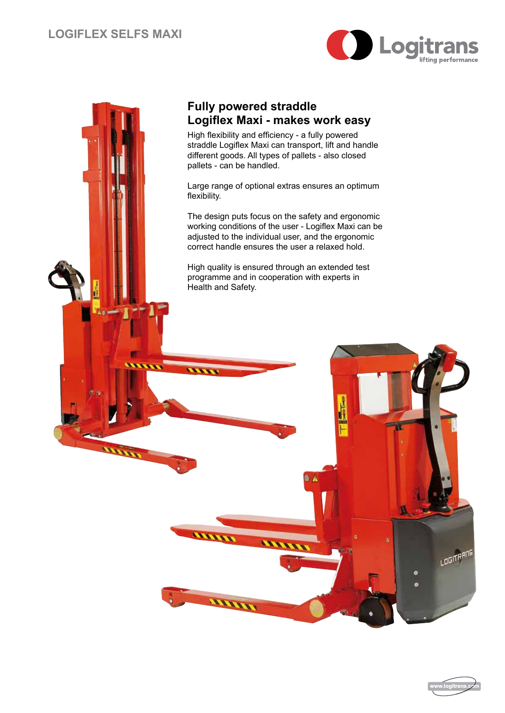



**Second** 

**ATTAIN** 

## **Fully powered straddle Logiflex Maxi - makes work easy**

High flexibility and efficiency - a fully powered straddle Logiflex Maxi can transport, lift and handle different goods. All types of pallets - also closed pallets - can be handled.

Large range of optional extras ensures an optimum flexibility.

The design puts focus on the safety and ergonomic working conditions of the user - Logiflex Maxi can be adjusted to the individual user, and the ergonomic correct handle ensures the user a relaxed hold.

High quality is ensured through an extended test programme and in cooperation with experts in Health and Safety.

ann ann



**LOGITARIS**